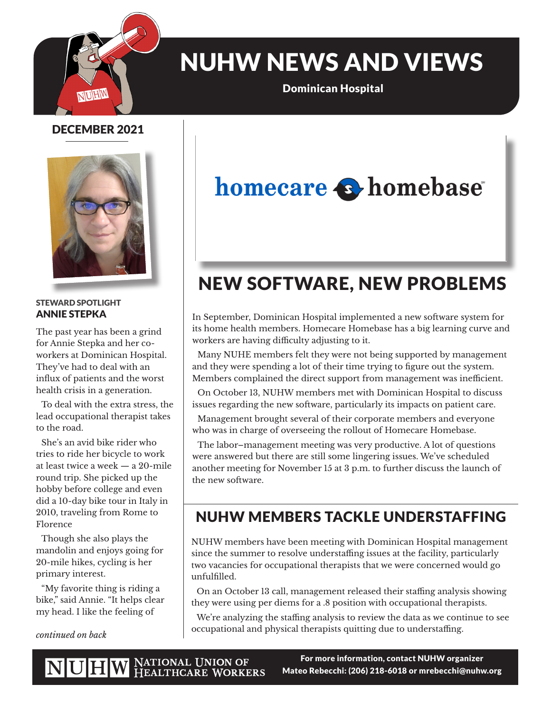

# NUHW NEWS AND VIEWS

Dominican Hospital

### DECEMBER 2021



#### STEWARD SPOTLIGHT ANNIE STEPKA

The past year has been a grind for Annie Stepka and her coworkers at Dominican Hospital. They've had to deal with an influx of patients and the worst health crisis in a generation.

To deal with the extra stress, the lead occupational therapist takes to the road.

She's an avid bike rider who tries to ride her bicycle to work at least twice a week — a 20-mile round trip. She picked up the hobby before college and even did a 10-day bike tour in Italy in 2010, traveling from Rome to Florence

Though she also plays the mandolin and enjoys going for 20-mile hikes, cycling is her primary interest.

"My favorite thing is riding a bike," said Annie. "It helps clear my head. I like the feeling of

*continued on back*

# homecare **S**homebase

## NEW SOFTWARE, NEW PROBLEMS

In September, Dominican Hospital implemented a new software system for its home health members. Homecare Homebase has a big learning curve and workers are having difficulty adjusting to it.

Many NUHE members felt they were not being supported by management and they were spending a lot of their time trying to figure out the system. Members complained the direct support from management was inefficient.

On October 13, NUHW members met with Dominican Hospital to discuss issues regarding the new software, particularly its impacts on patient care.

Management brought several of their corporate members and everyone who was in charge of overseeing the rollout of Homecare Homebase.

The labor–management meeting was very productive. A lot of questions were answered but there are still some lingering issues. We've scheduled another meeting for November 15 at 3 p.m. to further discuss the launch of the new software.

### NUHW MEMBERS TACKLE UNDERSTAFFING

NUHW members have been meeting with Dominican Hospital management since the summer to resolve understaffing issues at the facility, particularly two vacancies for occupational therapists that we were concerned would go unfulfilled.

On an October 13 call, management released their staffing analysis showing they were using per diems for a .8 position with occupational therapists.

We're analyzing the staffing analysis to review the data as we continue to see occupational and physical therapists quitting due to understaffing.

For more information, contact NUHW organizer Mateo Rebecchi: (206) 218-6018 or mrebecchi@nuhw.org